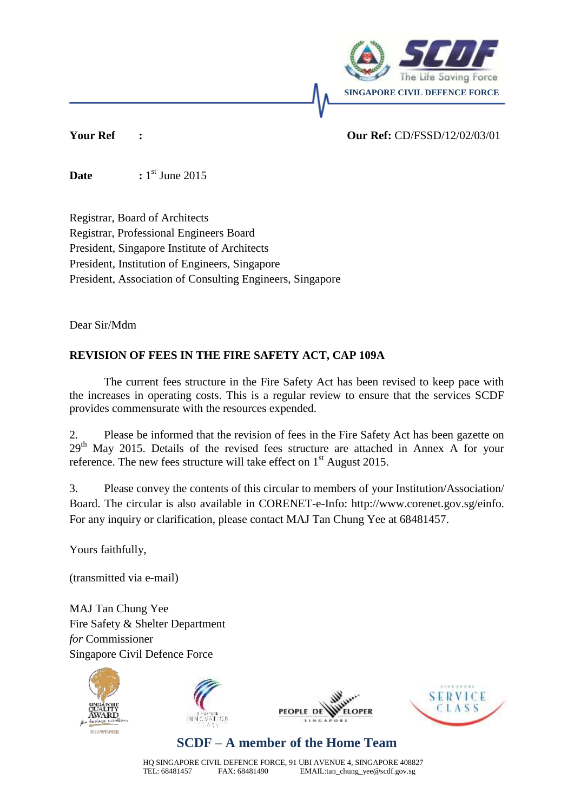

### **Your Ref : Our Ref:** CD/FSSD/12/02/03/01

 $\sum$ **Date**  $: 1<sup>st</sup>$  June 2015

Registrar, Board of Architects Registrar, Professional Engineers Board President, Singapore Institute of Architects President, Institution of Engineers, Singapore President, Association of Consulting Engineers, Singapore

Dear Sir/Mdm

### **REVISION OF FEES IN THE FIRE SAFETY ACT, CAP 109A**

The current fees structure in the Fire Safety Act has been revised to keep pace with the increases in operating costs. This is a regular review to ensure that the services SCDF provides commensurate with the resources expended.

2. Please be informed that the revision of fees in the Fire Safety Act has been gazette on 29th May 2015. Details of the revised fees structure are attached in Annex A for your reference. The new fees structure will take effect on  $1<sup>st</sup>$  August 2015.

3. Please convey the contents of this circular to members of your Institution/Association/ Board. The circular is also available in CORENET-e-Info: http://www.corenet.gov.sg/einfo. For any inquiry or clarification, please contact MAJ Tan Chung Yee at 68481457.

Yours faithfully,

(transmitted via e-mail)

MAJ Tan Chung Yee Fire Safety & Shelter Department *for* Commissioner Singapore Civil Defence Force









# **SCDF – A member of the Home Team**

HQ SINGAPORE CIVIL DEFENCE FORCE, 91 UBI AVENUE 4, SINGAPORE 408827<br>TEL: 68481457 FAX: 68481490 EMAIL:tan chung yee@scdf.gov.sg EMAIL: tan\_chung\_yee@scdf.gov.sg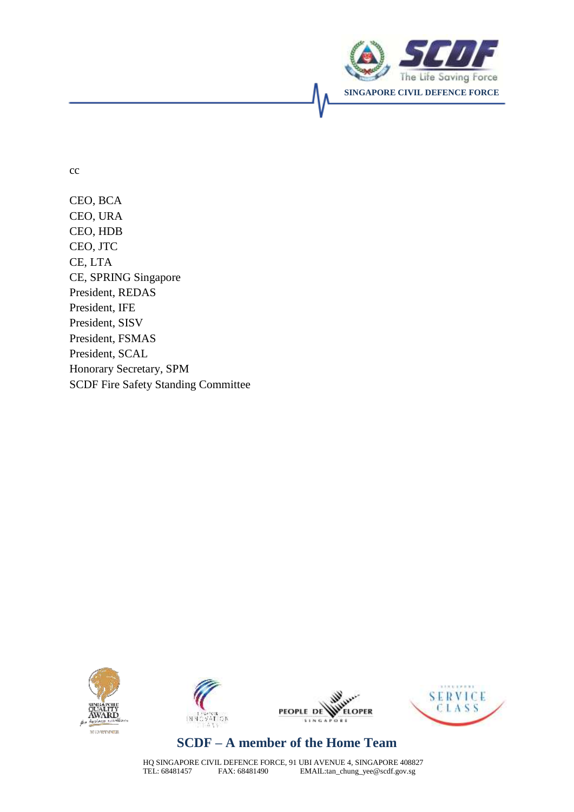

cc

CEO, BCA CEO, URA CEO, HDB CEO, JTC CE, LTA CE, SPRING Singapore President, REDAS President, IFE President, SISV President, FSMAS President, SCAL Honorary Secretary, SPM SCDF Fire Safety Standing Committee









# **SCDF – A member of the Home Team**

HQ SINGAPORE CIVIL DEFENCE FORCE, 91 UBI AVENUE 4, SINGAPORE 408827<br>TEL: 68481457 FAX: 68481490 EMAIL:tan\_chung\_yee@scdf.gov.sg EMAIL: tan\_chung\_yee@scdf.gov.sg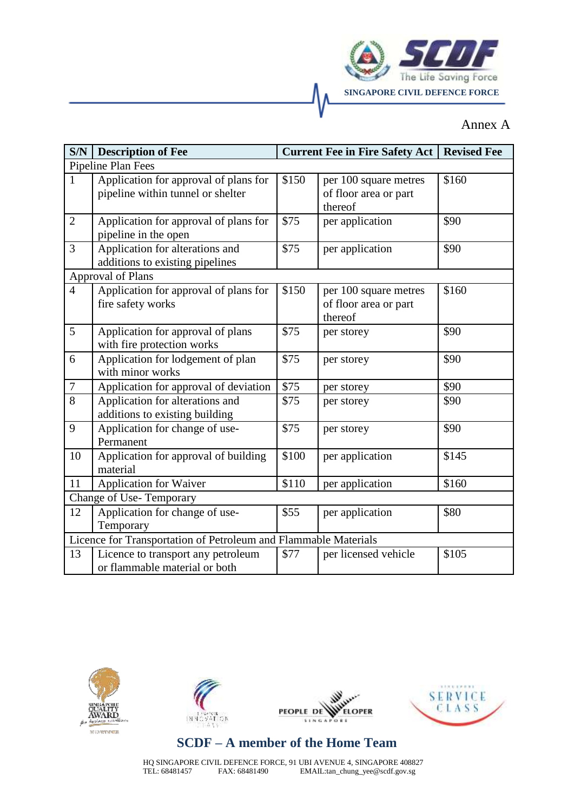

### Annex A

| S/N                                                             | <b>Description of Fee</b>                                                  |       | <b>Current Fee in Fire Safety Act</b>                     | <b>Revised Fee</b> |  |  |
|-----------------------------------------------------------------|----------------------------------------------------------------------------|-------|-----------------------------------------------------------|--------------------|--|--|
| Pipeline Plan Fees                                              |                                                                            |       |                                                           |                    |  |  |
| $\mathbf{1}$                                                    | Application for approval of plans for<br>pipeline within tunnel or shelter | \$150 | per 100 square metres<br>of floor area or part<br>thereof | \$160              |  |  |
| $\overline{2}$                                                  | Application for approval of plans for<br>pipeline in the open              | \$75  | per application                                           | \$90               |  |  |
| 3                                                               | Application for alterations and<br>additions to existing pipelines         | \$75  | per application                                           | \$90               |  |  |
| Approval of Plans                                               |                                                                            |       |                                                           |                    |  |  |
| $\overline{4}$                                                  | Application for approval of plans for<br>fire safety works                 | \$150 | per 100 square metres<br>of floor area or part<br>thereof | \$160              |  |  |
| 5                                                               | Application for approval of plans<br>with fire protection works            | \$75  | per storey                                                | \$90               |  |  |
| 6                                                               | Application for lodgement of plan<br>with minor works                      | \$75  | per storey                                                | \$90               |  |  |
| $\boldsymbol{7}$                                                | Application for approval of deviation                                      | \$75  | per storey                                                | \$90               |  |  |
| 8                                                               | Application for alterations and<br>additions to existing building          | \$75  | per storey                                                | \$90               |  |  |
| 9                                                               | Application for change of use-<br>Permanent                                | \$75  | per storey                                                | \$90               |  |  |
| 10                                                              | Application for approval of building<br>material                           | \$100 | per application                                           | \$145              |  |  |
| 11                                                              | <b>Application for Waiver</b>                                              | \$110 | per application                                           | \$160              |  |  |
| Change of Use-Temporary                                         |                                                                            |       |                                                           |                    |  |  |
| 12                                                              | Application for change of use-<br>Temporary                                | \$55  | per application                                           | \$80               |  |  |
| Licence for Transportation of Petroleum and Flammable Materials |                                                                            |       |                                                           |                    |  |  |
| 13                                                              | Licence to transport any petroleum<br>or flammable material or both        | \$77  | per licensed vehicle                                      | \$105              |  |  |





**WHELE** W PEOPLE DE **ELOPER** 



# **SCDF – A member of the Home Team**

HQ SINGAPORE CIVIL DEFENCE FORCE, 91 UBI AVENUE 4, SINGAPORE 408827<br>TEL: 68481457 FAX: 68481490 EMAIL:tan\_chung\_yee@scdf.gov.sg EMAIL:tan\_chung\_yee@scdf.gov.sg